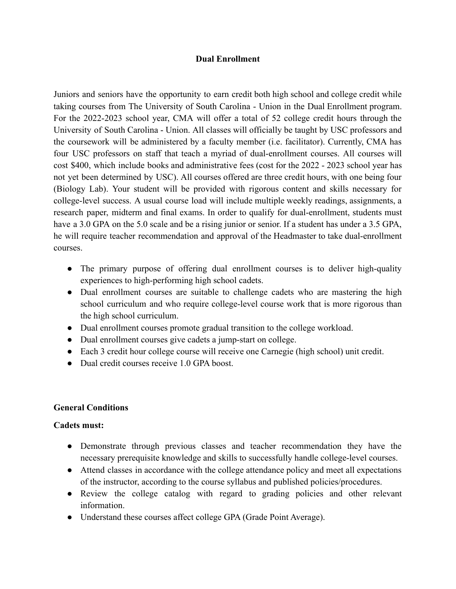### **Dual Enrollment**

Juniors and seniors have the opportunity to earn credit both high school and college credit while taking courses from The University of South Carolina - Union in the Dual Enrollment program. For the 2022-2023 school year, CMA will offer a total of 52 college credit hours through the University of South Carolina - Union. All classes will officially be taught by USC professors and the coursework will be administered by a faculty member (i.e. facilitator). Currently, CMA has four USC professors on staff that teach a myriad of dual-enrollment courses. All courses will cost \$400, which include books and administrative fees (cost for the 2022 - 2023 school year has not yet been determined by USC). All courses offered are three credit hours, with one being four (Biology Lab). Your student will be provided with rigorous content and skills necessary for college-level success. A usual course load will include multiple weekly readings, assignments, a research paper, midterm and final exams. In order to qualify for dual-enrollment, students must have a 3.0 GPA on the 5.0 scale and be a rising junior or senior. If a student has under a 3.5 GPA, he will require teacher recommendation and approval of the Headmaster to take dual-enrollment courses.

- The primary purpose of offering dual enrollment courses is to deliver high-quality experiences to high-performing high school cadets.
- Dual enrollment courses are suitable to challenge cadets who are mastering the high school curriculum and who require college-level course work that is more rigorous than the high school curriculum.
- Dual enrollment courses promote gradual transition to the college workload.
- Dual enrollment courses give cadets a jump-start on college.
- Each 3 credit hour college course will receive one Carnegie (high school) unit credit.
- Dual credit courses receive 1.0 GPA boost.

### **General Conditions**

#### **Cadets must:**

- Demonstrate through previous classes and teacher recommendation they have the necessary prerequisite knowledge and skills to successfully handle college-level courses.
- Attend classes in accordance with the college attendance policy and meet all expectations of the instructor, according to the course syllabus and published policies/procedures.
- Review the college catalog with regard to grading policies and other relevant information.
- Understand these courses affect college GPA (Grade Point Average).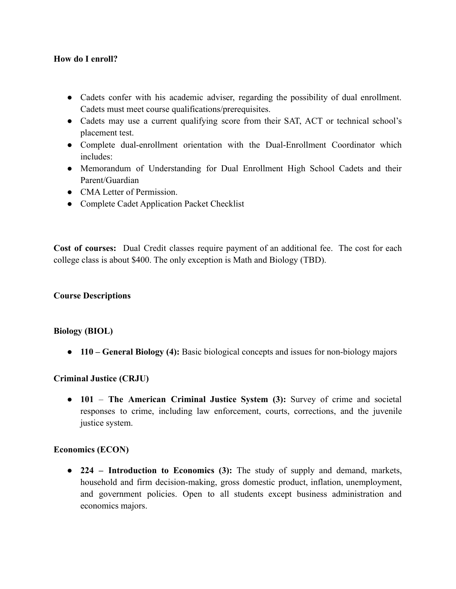### **How do I enroll?**

- Cadets confer with his academic adviser, regarding the possibility of dual enrollment. Cadets must meet course qualifications/prerequisites.
- Cadets may use a current qualifying score from their SAT, ACT or technical school's placement test.
- Complete dual-enrollment orientation with the Dual-Enrollment Coordinator which includes:
- Memorandum of Understanding for Dual Enrollment High School Cadets and their Parent/Guardian
- CMA Letter of Permission.
- Complete Cadet Application Packet Checklist

**Cost of courses:** Dual Credit classes require payment of an additional fee. The cost for each college class is about \$400. The only exception is Math and Biology (TBD).

### **Course Descriptions**

#### **Biology (BIOL)**

● **110 – General Biology (4):** Basic biological concepts and issues for non-biology majors

### **Criminal Justice (CRJU)**

● **101** – **The American Criminal Justice System (3):** Survey of crime and societal responses to crime, including law enforcement, courts, corrections, and the juvenile justice system.

#### **Economics (ECON)**

● **224 – Introduction to Economics (3):** The study of supply and demand, markets, household and firm decision-making, gross domestic product, inflation, unemployment, and government policies. Open to all students except business administration and economics majors.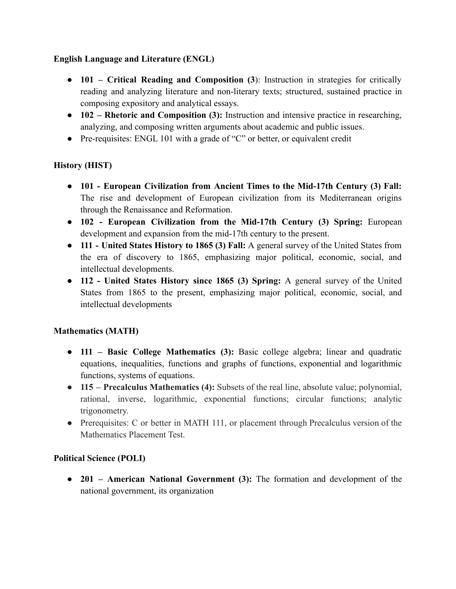## **English Language and Literature (ENGL)**

- **101 – Critical Reading and Composition (3**): Instruction in strategies for critically reading and analyzing literature and non-literary texts; structured, sustained practice in composing expository and analytical essays.
- **102 – Rhetoric and Composition (3):** Instruction and intensive practice in researching, analyzing, and composing written arguments about academic and public issues.
- Pre-requisites: ENGL 101 with a grade of "C" or better, or equivalent credit

# **History (HIST)**

- **101 - European Civilization from Ancient Times to the Mid-17th Century (3) Fall:** The rise and development of European civilization from its Mediterranean origins through the Renaissance and Reformation.
- **102 - European Civilization from the Mid-17th Century (3) Spring:** European development and expansion from the mid-17th century to the present.
- **111 - United States History to 1865 (3) Fall:** A general survey of the United States from the era of discovery to 1865, emphasizing major political, economic, social, and intellectual developments.
- **112 - United States History since 1865 (3) Spring:** A general survey of the United States from 1865 to the present, emphasizing major political, economic, social, and intellectual developments

# **Mathematics (MATH)**

- **111 – Basic College Mathematics (3):** Basic college algebra; linear and quadratic equations, inequalities, functions and graphs of functions, exponential and logarithmic functions, systems of equations.
- **115 – Precalculus Mathematics (4):** Subsets of the real line, absolute value; polynomial, rational, inverse, logarithmic, exponential functions; circular functions; analytic trigonometry.
- Prerequisites: C or better in MATH 111, or placement through Precalculus version of the Mathematics Placement Test.

# **Political Science (POLI)**

● **201 – American National Government (3):** The formation and development of the national government, its organization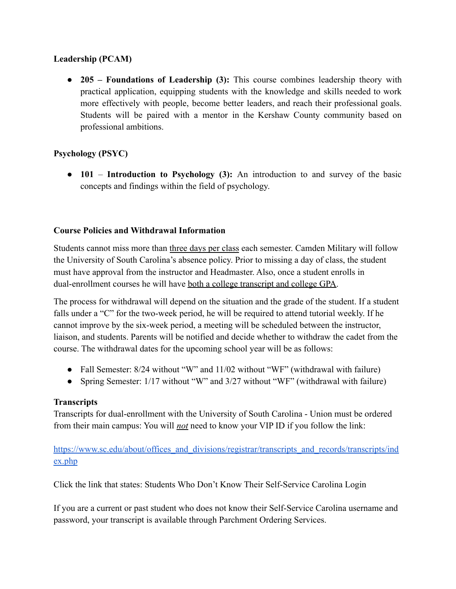### **Leadership (PCAM)**

● **205 – Foundations of Leadership (3):** This course combines leadership theory with practical application, equipping students with the knowledge and skills needed to work more effectively with people, become better leaders, and reach their professional goals. Students will be paired with a mentor in the Kershaw County community based on professional ambitions.

# **Psychology (PSYC)**

● **101** – **Introduction to Psychology (3):** An introduction to and survey of the basic concepts and findings within the field of psychology.

## **Course Policies and Withdrawal Information**

Students cannot miss more than three days per class each semester. Camden Military will follow the University of South Carolina's absence policy. Prior to missing a day of class, the student must have approval from the instructor and Headmaster. Also, once a student enrolls in dual-enrollment courses he will have both a college transcript and college GPA.

The process for withdrawal will depend on the situation and the grade of the student. If a student falls under a "C" for the two-week period, he will be required to attend tutorial weekly. If he cannot improve by the six-week period, a meeting will be scheduled between the instructor, liaison, and students. Parents will be notified and decide whether to withdraw the cadet from the course. The withdrawal dates for the upcoming school year will be as follows:

- Fall Semester: 8/24 without "W" and 11/02 without "WF" (withdrawal with failure)
- Spring Semester: 1/17 without "W" and 3/27 without "WF" (withdrawal with failure)

### **Transcripts**

Transcripts for dual-enrollment with the University of South Carolina - Union must be ordered from their main campus: You will *not* need to know your VIP ID if you follow the link:

https://www.sc.edu/about/offices\_and\_divisions/registrar/transcripts\_and\_records/transcripts/ind ex.php

Click the link that states: Students Who Don't Know Their Self-Service Carolina Login

If you are a current or past student who does not know their Self-Service Carolina username and password, your transcript is available through Parchment Ordering Services.